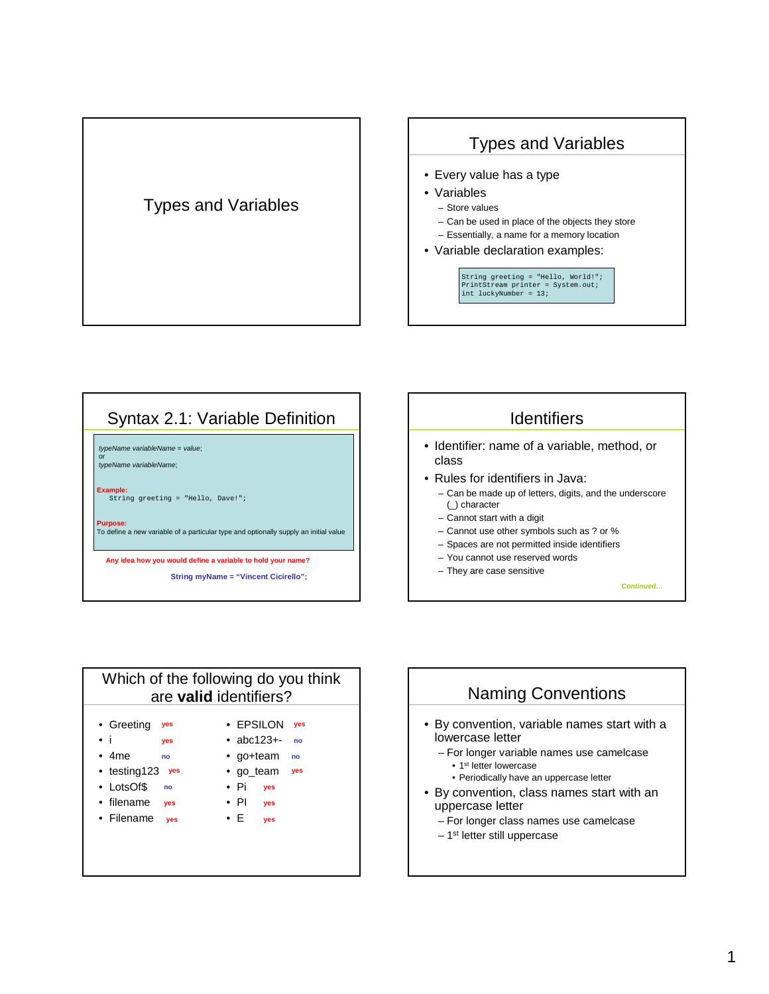









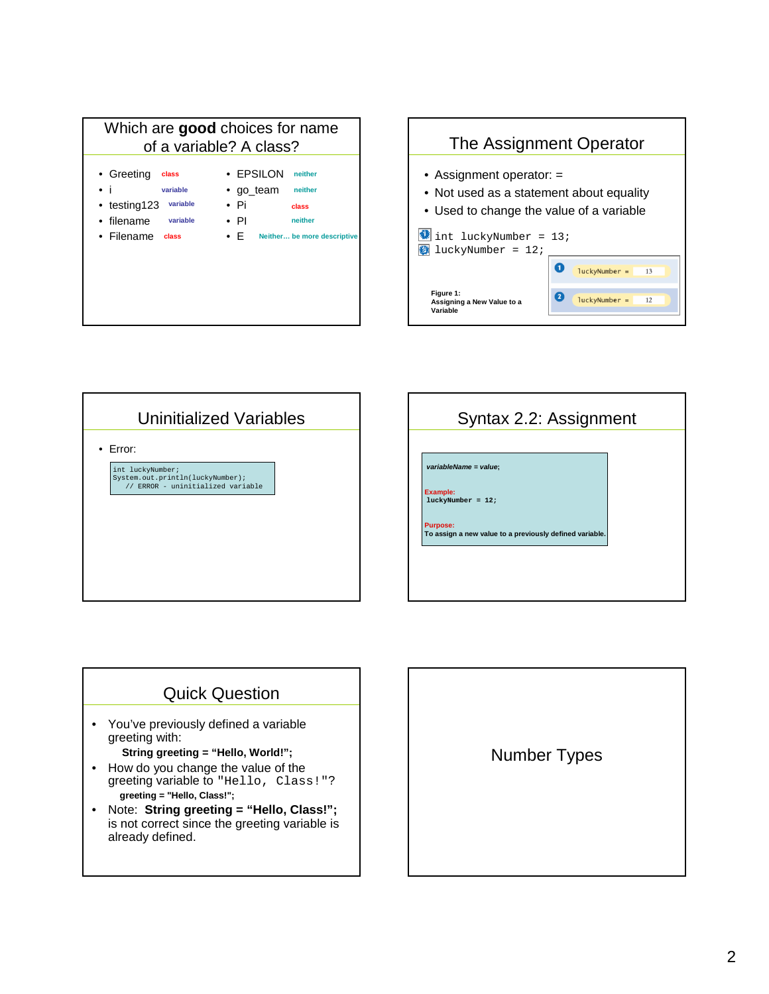







## Quick Question

• You've previously defined a variable greeting with:

## **String greeting = "Hello, World!";**

- How do you change the value of the greeting variable to "Hello, Class!"? **greeting = "Hello, Class!";**
- Note: **String greeting = "Hello, Class!";** is not correct since the greeting variable is already defined.

Number Types